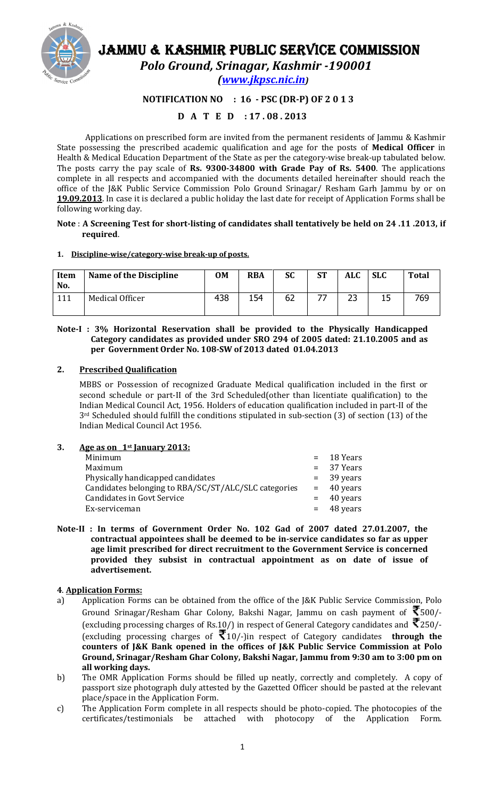

# JAMMU & KASHMIR PUBLIC SERVICE COMMISSION

Polo Ground, Srinagar, Kashmir -190001

(www.jkpsc.nic.in)

## NOTIFICATION NO : 16 - PSC (DR-P) OF 2 0 1 3

# D A T E D : 17 . 08 . 2013

Applications on prescribed form are invited from the permanent residents of Jammu & Kashmir State possessing the prescribed academic qualification and age for the posts of Medical Officer in Health & Medical Education Department of the State as per the category-wise break-up tabulated below. The posts carry the pay scale of Rs. 9300-34800 with Grade Pay of Rs. 5400. The applications complete in all respects and accompanied with the documents detailed hereinafter should reach the office of the J&K Public Service Commission Polo Ground Srinagar/ Resham Garh Jammu by or on 19.09.2013. In case it is declared a public holiday the last date for receipt of Application Forms shall be following working day.

#### Note : A Screening Test for short-listing of candidates shall tentatively be held on 24 .11 .2013, if required.

#### 1. Discipline-wise/category-wise break-up of posts.

| Item<br>No. | Name of the Discipline | <b>OM</b> | <b>RBA</b> | <b>SC</b> | <b>ST</b> | ALC | <b>SLC</b> | <b>Total</b> |
|-------------|------------------------|-----------|------------|-----------|-----------|-----|------------|--------------|
| 111         | Medical Officer        | 438       | 154        | 62        |           | 23  |            | 769          |

#### Note-I : 3% Horizontal Reservation shall be provided to the Physically Handicapped Category candidates as provided under SRO 294 of 2005 dated: 21.10.2005 and as per Government Order No. 108-SW of 2013 dated 01.04.2013

## 2. Prescribed Qualification

MBBS or Possession of recognized Graduate Medical qualification included in the first or second schedule or part-II of the 3rd Scheduled(other than licentiate qualification) to the Indian Medical Council Act, 1956. Holders of education qualification included in part-II of the 3rd Scheduled should fulfill the conditions stipulated in sub-section (3) of section (13) of the Indian Medical Council Act 1956.

## 3. Age as on  $1$ <sup>st</sup> January 2013:

| Minimum                                              | $=$ 18 Years |
|------------------------------------------------------|--------------|
| Maximum                                              | $= 37$ Years |
| Physically handicapped candidates                    | $=$ 39 years |
| Candidates belonging to RBA/SC/ST/ALC/SLC categories | $=$ 40 years |
| <b>Candidates in Govt Service</b>                    | $=$ 40 years |
| Ex-serviceman                                        | $=$ 48 years |
|                                                      |              |

Note-II : In terms of Government Order No. 102 Gad of 2007 dated 27.01.2007, the contractual appointees shall be deemed to be in-service candidates so far as upper age limit prescribed for direct recruitment to the Government Service is concerned provided they subsist in contractual appointment as on date of issue of advertisement.

## 4. Application Forms:

- a) Application Forms can be obtained from the office of the J&K Public Service Commission, Polo Ground Srinagar/Resham Ghar Colony, Bakshi Nagar, Jammu on cash payment of  $\bar{\mathfrak{T}}$ 500/-(excluding processing charges of Rs.10/) in respect of General Category candidates and  $\bar{\mathbf{\mathcal{R}}}$ 250/-(excluding processing charges of  $\bar{\mathcal{F}}_{10/-}$ ) in respect of Category candidates **through the** counters of J&K Bank opened in the offices of J&K Public Service Commission at Polo Ground, Srinagar/Resham Ghar Colony, Bakshi Nagar, Jammu from 9:30 am to 3:00 pm on all working days.
- b) The OMR Application Forms should be filled up neatly, correctly and completely. A copy of passport size photograph duly attested by the Gazetted Officer should be pasted at the relevant place/space in the Application Form.
- c) The Application Form complete in all respects should be photo-copied. The photocopies of the certificates/testimonials be attached with photocopy of the Application Form.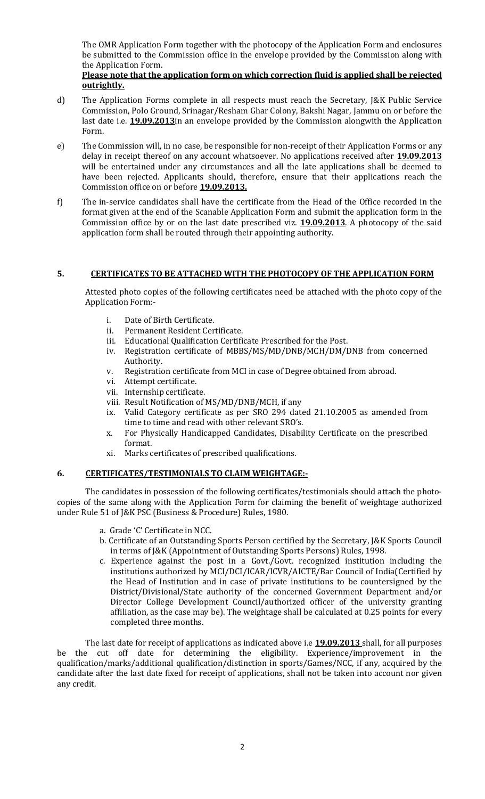The OMR Application Form together with the photocopy of the Application Form and enclosures be submitted to the Commission office in the envelope provided by the Commission along with the Application Form.

## Please note that the application form on which correction fluid is applied shall be rejected outrightly.

- d) The Application Forms complete in all respects must reach the Secretary, J&K Public Service Commission, Polo Ground, Srinagar/Resham Ghar Colony, Bakshi Nagar, Jammu on or before the last date i.e. **19.09.2013** in an envelope provided by the Commission alongwith the Application Form.
- e) The Commission will, in no case, be responsible for non-receipt of their Application Forms or any delay in receipt thereof on any account whatsoever. No applications received after **19.09.2013** will be entertained under any circumstances and all the late applications shall be deemed to have been rejected. Applicants should, therefore, ensure that their applications reach the Commission office on or before **19.09.2013.**
- f) The in-service candidates shall have the certificate from the Head of the Office recorded in the format given at the end of the Scanable Application Form and submit the application form in the Commission office by or on the last date prescribed viz. **19.09.2013**. A photocopy of the said application form shall be routed through their appointing authority.

## 5. CERTIFICATES TO BE ATTACHED WITH THE PHOTOCOPY OF THE APPLICATION FORM

Attested photo copies of the following certificates need be attached with the photo copy of the Application Form:-

- i. Date of Birth Certificate.
- ii. Permanent Resident Certificate.
- iii. Educational Qualification Certificate Prescribed for the Post.
- iv. Registration certificate of MBBS/MS/MD/DNB/MCH/DM/DNB from concerned Authority.
- v. Registration certificate from MCI in case of Degree obtained from abroad.
- vi. Attempt certificate.
- vii. Internship certificate.
- viii. Result Notification of MS/MD/DNB/MCH, if any
- ix. Valid Category certificate as per SRO 294 dated 21.10.2005 as amended from time to time and read with other relevant SRO's.
- x. For Physically Handicapped Candidates, Disability Certificate on the prescribed format.
- xi. Marks certificates of prescribed qualifications.

#### 6. CERTIFICATES/TESTIMONIALS TO CLAIM WEIGHTAGE:-

The candidates in possession of the following certificates/testimonials should attach the photocopies of the same along with the Application Form for claiming the benefit of weightage authorized under Rule 51 of J&K PSC (Business & Procedure) Rules, 1980.

- a. Grade 'C' Certificate in NCC.
- b. Certificate of an Outstanding Sports Person certified by the Secretary, J&K Sports Council in terms of J&K (Appointment of Outstanding Sports Persons) Rules, 1998.
- c. Experience against the post in a Govt./Govt. recognized institution including the institutions authorized by MCI/DCI/ICAR/ICVR/AICTE/Bar Council of India(Certified by the Head of Institution and in case of private institutions to be countersigned by the District/Divisional/State authority of the concerned Government Department and/or Director College Development Council/authorized officer of the university granting affiliation, as the case may be). The weightage shall be calculated at 0.25 points for every completed three months.

The last date for receipt of applications as indicated above i.e **19.09.2013** shall, for all purposes be the cut off date for determining the eligibility. Experience/improvement in the qualification/marks/additional qualification/distinction in sports/Games/NCC, if any, acquired by the candidate after the last date fixed for receipt of applications, shall not be taken into account nor given any credit.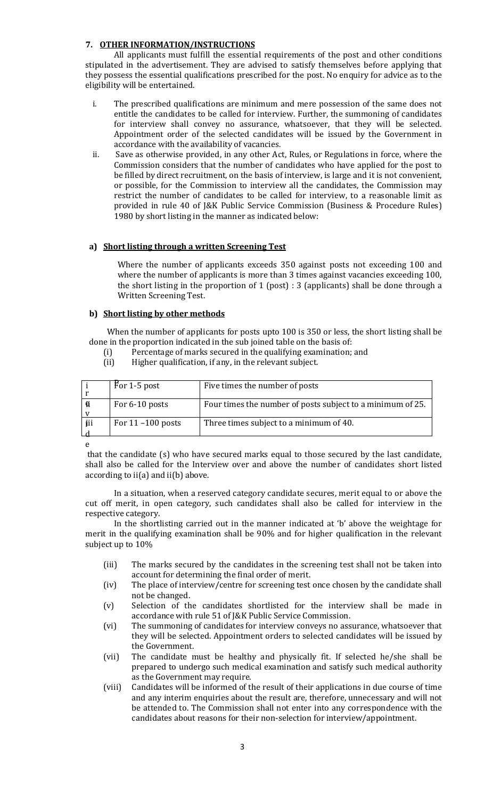## 7. OTHER INFORMATION/INSTRUCTIONS

All applicants must fulfill the essential requirements of the post and other conditions stipulated in the advertisement. They are advised to satisfy themselves before applying that they possess the essential qualifications prescribed for the post. No enquiry for advice as to the eligibility will be entertained.

- i. The prescribed qualifications are minimum and mere possession of the same does not entitle the candidates to be called for interview. Further, the summoning of candidates for interview shall convey no assurance, whatsoever, that they will be selected. Appointment order of the selected candidates will be issued by the Government in accordance with the availability of vacancies.
- ii. Save as otherwise provided, in any other Act, Rules, or Regulations in force, where the Commission considers that the number of candidates who have applied for the post to be filled by direct recruitment, on the basis of interview, is large and it is not convenient, or possible, for the Commission to interview all the candidates, the Commission may restrict the number of candidates to be called for interview, to a reasonable limit as provided in rule 40 of J&K Public Service Commission (Business & Procedure Rules) 1980 by short listing in the manner as indicated below:

## a) Short listing through a written Screening Test

Where the number of applicants exceeds 350 against posts not exceeding 100 and where the number of applicants is more than 3 times against vacancies exceeding 100, the short listing in the proportion of 1 (post) : 3 (applicants) shall be done through a Written Screening Test.

#### b) Short listing by other methods

 When the number of applicants for posts upto 100 is 350 or less, the short listing shall be done in the proportion indicated in the sub joined table on the basis of:

- (i) Percentage of marks secured in the qualifying examination; and
- (ii) Higher qualification, if any, in the relevant subject.

|        | For 1-5 post         | Five times the number of posts                             |
|--------|----------------------|------------------------------------------------------------|
| Ö<br>v | For 6-10 posts       | Four times the number of posts subject to a minimum of 25. |
| jii    | For $11 - 100$ posts | Three times subject to a minimum of 40.                    |

e

 that the candidate (s) who have secured marks equal to those secured by the last candidate, shall also be called for the Interview over and above the number of candidates short listed according to ii(a) and ii(b) above.

In a situation, when a reserved category candidate secures, merit equal to or above the cut off merit, in open category, such candidates shall also be called for interview in the respective category.

In the shortlisting carried out in the manner indicated at 'b' above the weightage for merit in the qualifying examination shall be 90% and for higher qualification in the relevant subject up to 10%

- (iii) The marks secured by the candidates in the screening test shall not be taken into account for determining the final order of merit.
- (iv) The place of interview/centre for screening test once chosen by the candidate shall not be changed.
- (v) Selection of the candidates shortlisted for the interview shall be made in accordance with rule 51 of J&K Public Service Commission.
- (vi) The summoning of candidates for interview conveys no assurance, whatsoever that they will be selected. Appointment orders to selected candidates will be issued by the Government.
- (vii) The candidate must be healthy and physically fit. If selected he/she shall be prepared to undergo such medical examination and satisfy such medical authority as the Government may require.
- (viii) Candidates will be informed of the result of their applications in due course of time and any interim enquiries about the result are, therefore, unnecessary and will not be attended to. The Commission shall not enter into any correspondence with the candidates about reasons for their non-selection for interview/appointment.